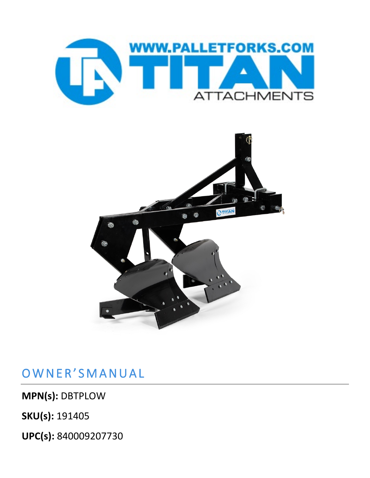



## OWNER'SMANUAL

**MPN(s):** DBTPLOW

**SKU(s):** 191405

**UPC(s):** 840009207730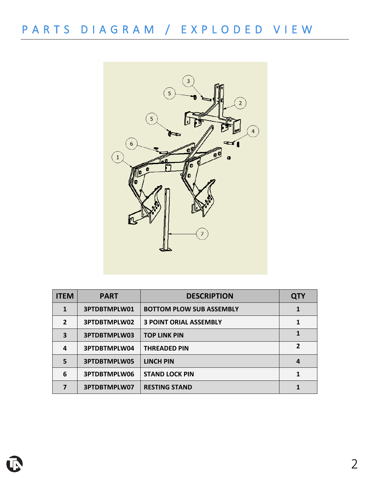

| <b>ITEM</b>    | <b>PART</b>  | <b>DESCRIPTION</b>              | <b>QTY</b> |
|----------------|--------------|---------------------------------|------------|
| 1              | 3PTDBTMPLW01 | <b>BOTTOM PLOW SUB ASSEMBLY</b> |            |
| $\overline{2}$ | 3PTDBTMPLW02 | <b>3 POINT ORIAL ASSEMBLY</b>   |            |
| 3              | 3PTDBTMPLW03 | <b>TOP LINK PIN</b>             | 1          |
| 4              | 3PTDBTMPLW04 | <b>THREADED PIN</b>             | 2          |
| 5              | 3PTDBTMPLW05 | <b>LINCH PIN</b>                | 4          |
| 6              | 3PTDBTMPLW06 | <b>STAND LOCK PIN</b>           | 1          |
|                | 3PTDBTMPLW07 | <b>RESTING STAND</b>            |            |